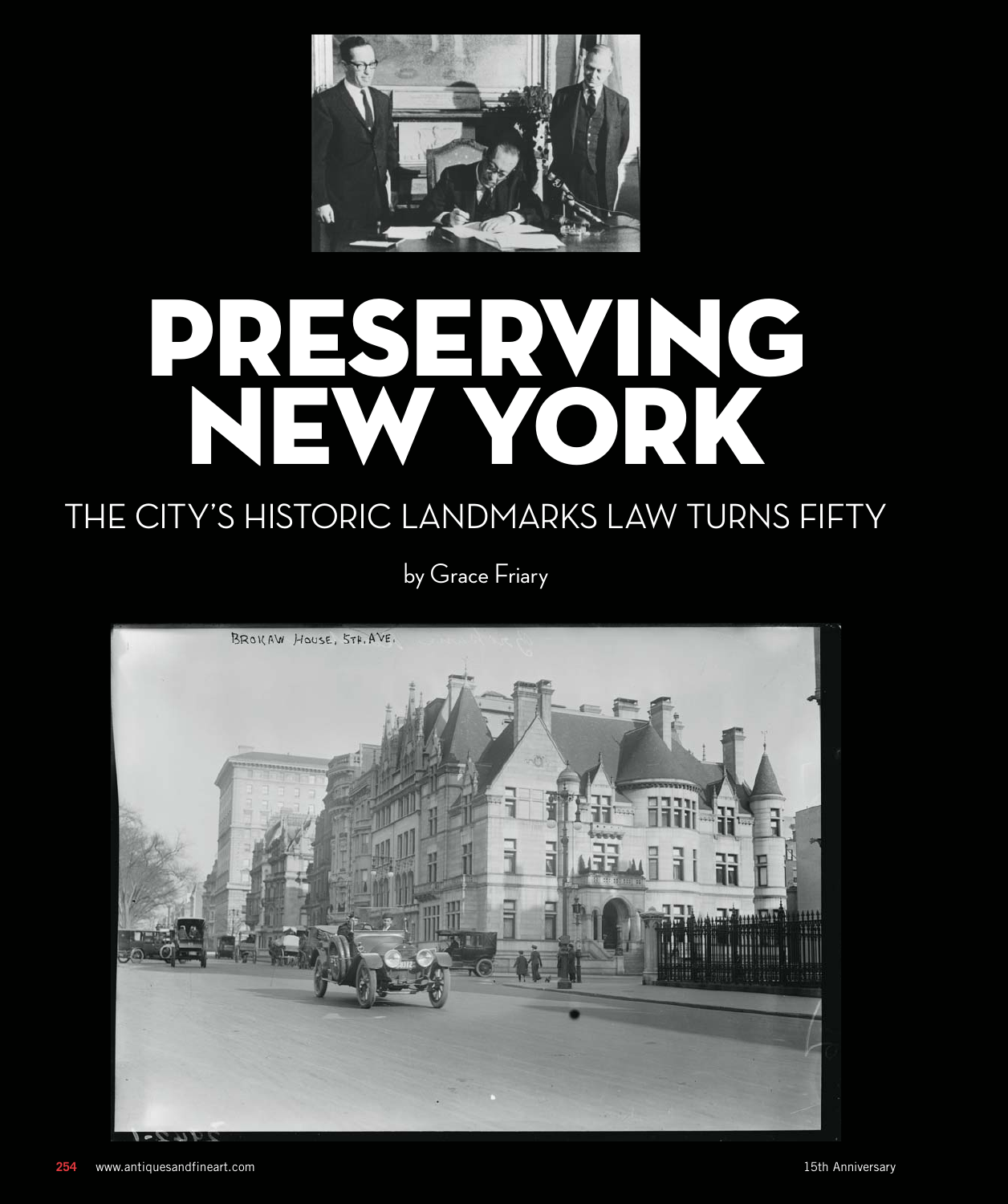

# PRESERVING NEW YORK

# THE CITY'S HISTORIC LANDMARKS LAW TURNS FIFTY

by Grace Friary

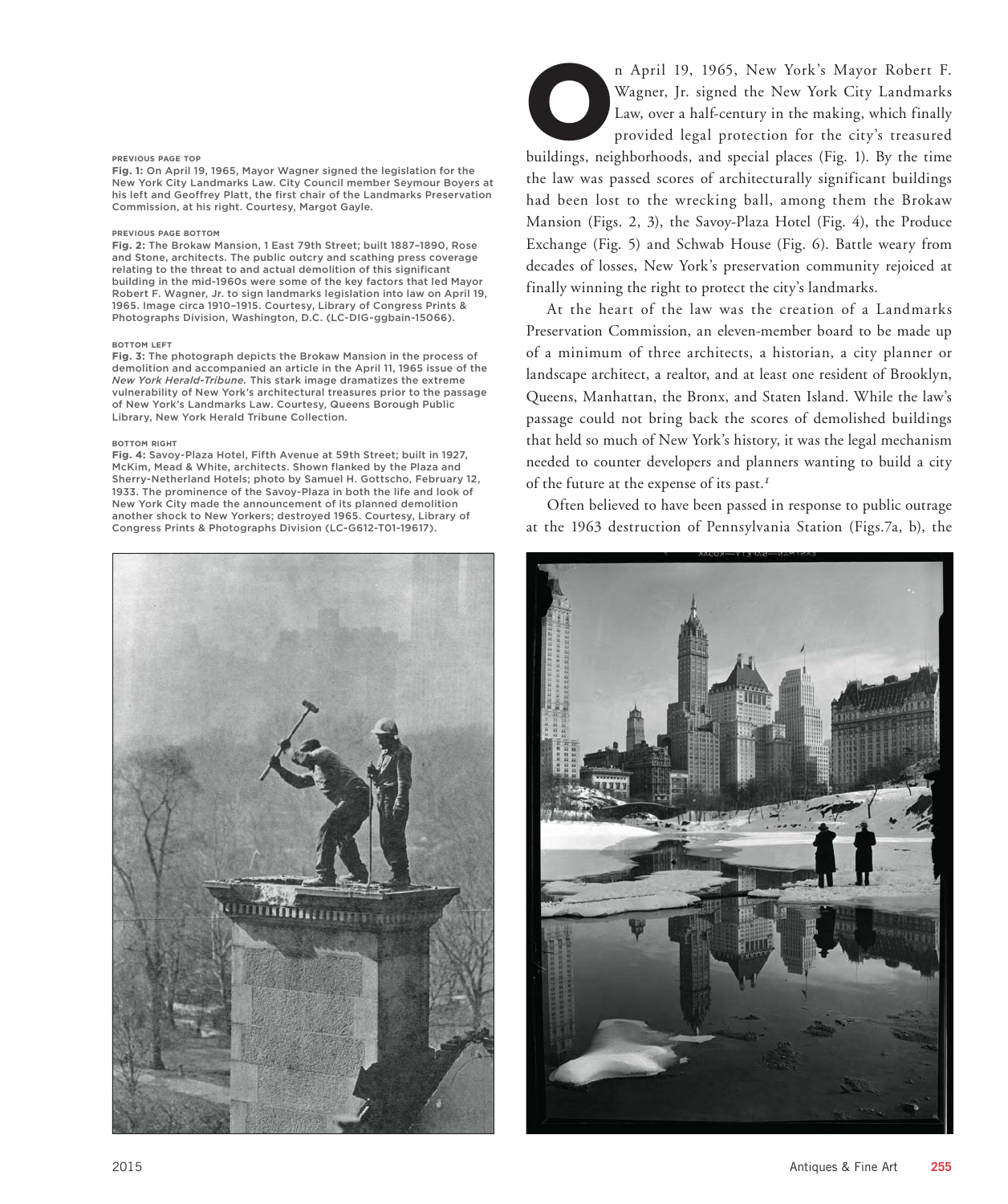# **PREVIOUS PAGE TOP**

**Fig. 1:** On April 19, 1965, Mayor Wagner signed the legislation for the New York City Landmarks Law. City Council member Seymour Boyers at his left and Geoffrey Platt, the first chair of the Landmarks Preservation Commission, at his right. Courtesy, Margot Gayle.

# **PREVIOUS PAGE BOTTOM**

**Fig. 2:** The Brokaw Mansion, 1 East 79th Street; built 1887–1890, Rose and Stone, architects. The public outcry and scathing press coverage relating to the threat to and actual demolition of this significant building in the mid-1960s were some of the key factors that led Mayor Robert F. Wagner, Jr. to sign landmarks legislation into law on April 19, 1965. Image circa 1910–1915. Courtesy, Library of Congress Prints & Photographs Division, Washington, D.C. (LC-DIG-ggbain-15066).

# **BOTTOM LEFT**

**Fig. 3:** The photograph depicts the Brokaw Mansion in the process of demolition and accompanied an article in the April 11, 1965 issue of the *New York Herald-Tribune.* This stark image dramatizes the extreme vulnerability of New York's architectural treasures prior to the passage of New York's Landmarks Law. Courtesy, Queens Borough Public Library, New York Herald Tribune Collection.

## **BOTTOM RIGHT**

**Fig. 4:** Savoy-Plaza Hotel, Fifth Avenue at 59th Street; built in 1927, McKim, Mead & White, architects. Shown flanked by the Plaza and Sherry-Netherland Hotels; photo by Samuel H. Gottscho, February 12, 1933. The prominence of the Savoy-Plaza in both the life and look of New York City made the announcement of its planned demolition another shock to New Yorkers; destroyed 1965. Courtesy, Library of Congress Prints & Photographs Division (LC-G612-T01-19617).



n April 19, 1965, New York's Mayor Robert F.<br>Wagner, Jr. signed the New York City Landmarks<br>Law, over a half-century in the making, which finally<br>provided legal protection for the city's treasured Wagner, Jr. signed the New York City Landmarks Law, over a half-century in the making, which finally provided legal protection for the city's treasured buildings, neighborhoods, and special places (Fig. 1). By the time the law was passed scores of architecturally significant buildings had been lost to the wrecking ball, among them the Brokaw Mansion (Figs. 2, 3), the Savoy-Plaza Hotel (Fig. 4), the Produce Exchange (Fig. 5) and Schwab House (Fig. 6). Battle weary from decades of losses, New York's preservation community rejoiced at

finally winning the right to protect the city's landmarks.

At the heart of the law was the creation of a Landmarks Preservation Commission, an eleven-member board to be made up of a minimum of three architects, a historian, a city planner or landscape architect, a realtor, and at least one resident of Brooklyn, Queens, Manhattan, the Bronx, and Staten Island. While the law's passage could not bring back the scores of demolished buildings that held so much of New York's history, it was the legal mechanism needed to counter developers and planners wanting to build a city of the future at the expense of its past.*<sup>1</sup>*

Often believed to have been passed in response to public outrage at the 1963 destruction of Pennsylvania Station (Figs.7a, b), the

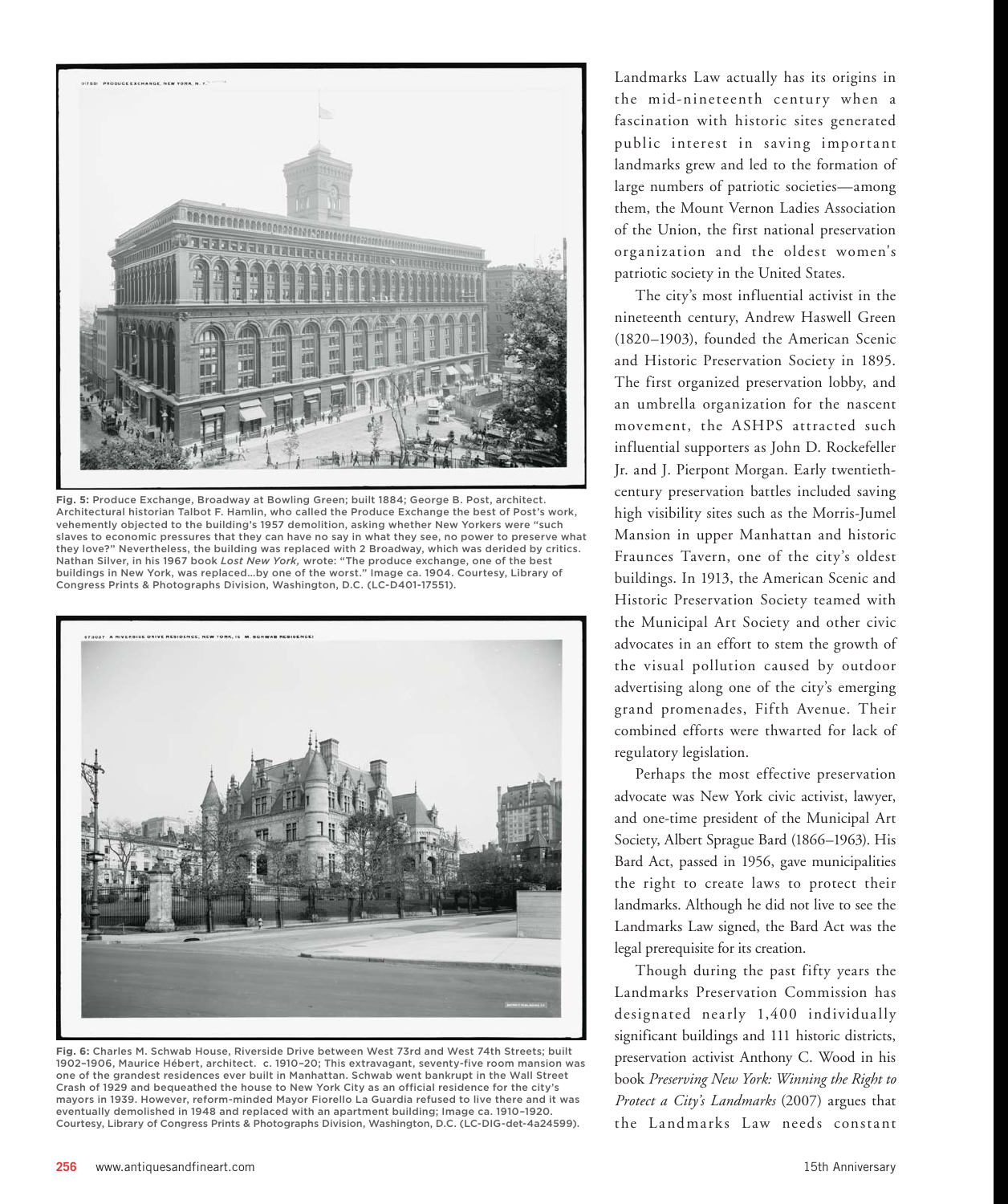

**Fig. 5:** Produce Exchange, Broadway at Bowling Green; built 1884; George B. Post, architect. Architectural historian Talbot F. Hamlin, who called the Produce Exchange the best of Post's work, vehemently objected to the building's 1957 demolition, asking whether New Yorkers were "such slaves to economic pressures that they can have no say in what they see, no power to preserve what they love?" Nevertheless, the building was replaced with 2 Broadway, which was derided by critics. Nathan Silver, in his 1967 book *Lost New York,* wrote: "The produce exchange, one of the best buildings in New York, was replaced…by one of the worst." Image ca. 1904. Courtesy, Library of Congress Prints & Photographs Division, Washington, D.C. (LC-D401-17551).



**Fig. 6:** Charles M. Schwab House, Riverside Drive between West 73rd and West 74th Streets; built 1902–1906, Maurice Hébert, architect. c. 1910–20; This extravagant, seventy-five room mansion was one of the grandest residences ever built in Manhattan. Schwab went bankrupt in the Wall Street Crash of 1929 and bequeathed the house to New York City as an official residence for the city's mayors in 1939. However, reform-minded Mayor Fiorello La Guardia refused to live there and it was eventually demolished in 1948 and replaced with an apartment building; Image ca. 1910–1920. Courtesy, Library of Congress Prints & Photographs Division, Washington, D.C. (LC-DIG-det-4a24599).

Landmarks Law actually has its origins in the mid-nineteenth century when a fascination with historic sites generated public interest in saving important landmarks grew and led to the formation of large numbers of patriotic societies—among them, the Mount Vernon Ladies Association of the Union, the first national preservation organization and the oldest women's patriotic society in the United States.

The city's most influential activist in the nineteenth century, Andrew Haswell Green (1820–1903), founded the American Scenic and Historic Preservation Society in 1895. The first organized preservation lobby, and an umbrella organization for the nascent movement, the ASHPS attracted such influential supporters as John D. Rockefeller Jr. and J. Pierpont Morgan. Early twentiethcentury preservation battles included saving high visibility sites such as the Morris-Jumel Mansion in upper Manhattan and historic Fraunces Tavern, one of the city's oldest buildings. In 1913, the American Scenic and Historic Preservation Society teamed with the Municipal Art Society and other civic advocates in an effort to stem the growth of the visual pollution caused by outdoor advertising along one of the city's emerging grand promenades, Fifth Avenue. Their combined efforts were thwarted for lack of regulatory legislation.

Perhaps the most effective preservation advocate was New York civic activist, lawyer, and one-time president of the Municipal Art Society, Albert Sprague Bard (1866–1963). His Bard Act, passed in 1956, gave municipalities the right to create laws to protect their landmarks. Although he did not live to see the Landmarks Law signed, the Bard Act was the legal prerequisite for its creation.

Though during the past fifty years the Landmarks Preservation Commission has designated nearly 1,400 individually significant buildings and 111 historic districts, preservation activist Anthony C. Wood in his book *Preserving New York: Winning the Right to Protect a City's Landmarks* (2007) argues that the Landmarks Law needs constant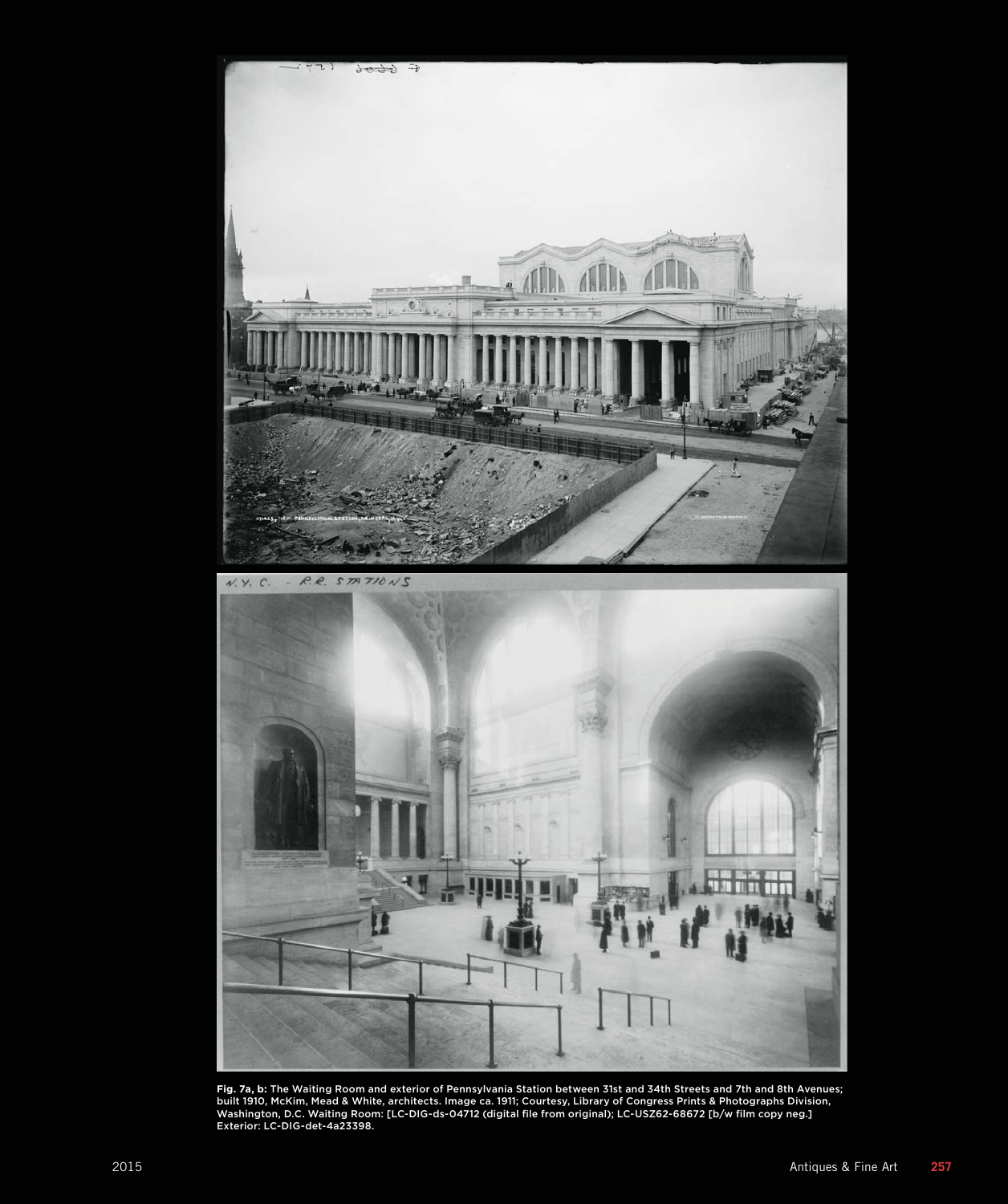

Fig. 7a, b: The Waiting Room and exterior of Pennsylvania Station between 31st and 34th Streets and 7th and 8th Avenues;<br>built 1910, McKim, Mead & White, architects. Image ca. 1911; Courtesy, Library of Congress Prints & P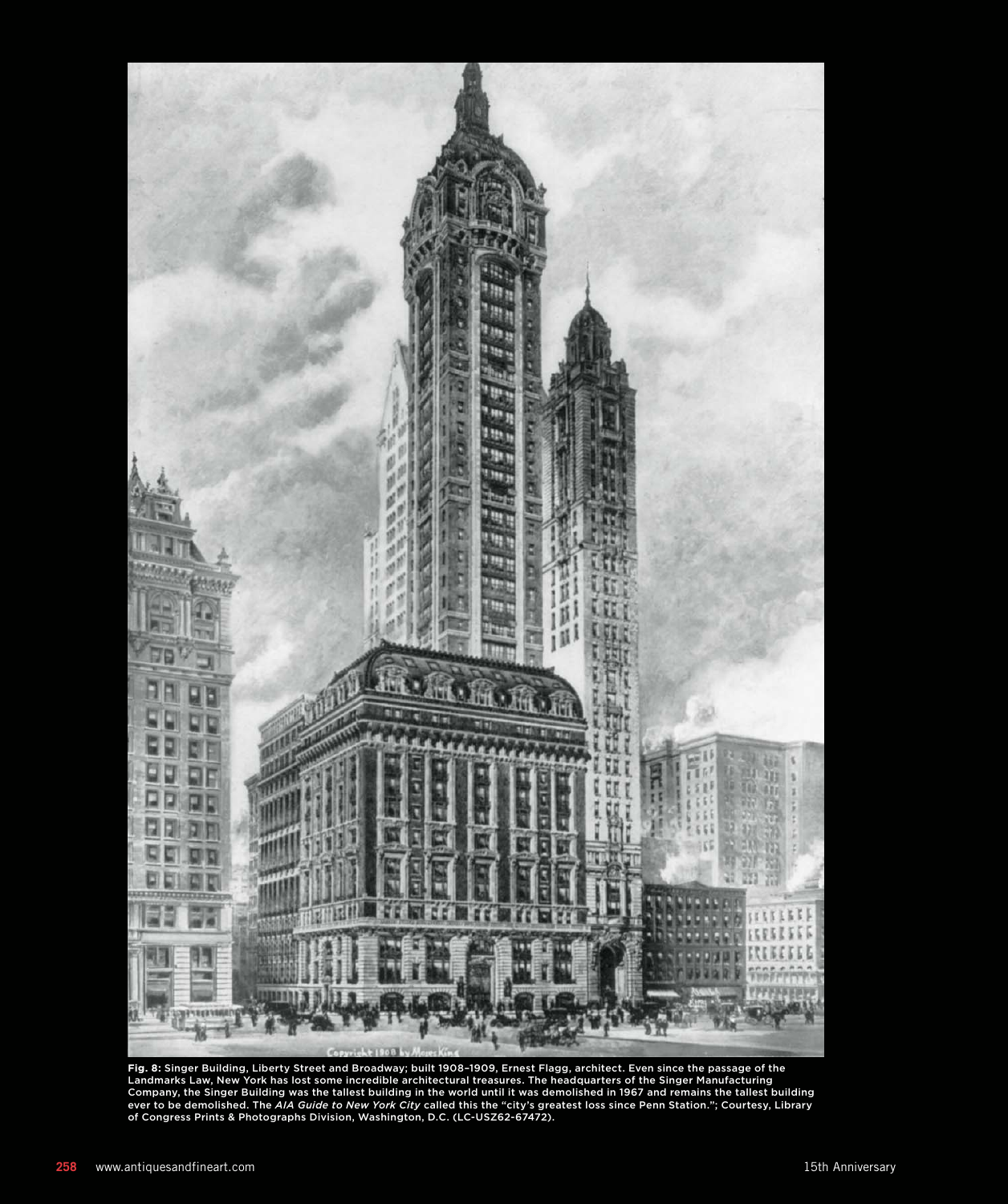

Fig. 8: Singer Building, Liberty Street and Broadway; built 1908–1909, Ernest Flagg, architect. Even since the passage of the<br>Landmarks Law, New York has lost some incredible architectural treasures. The headquarters of th